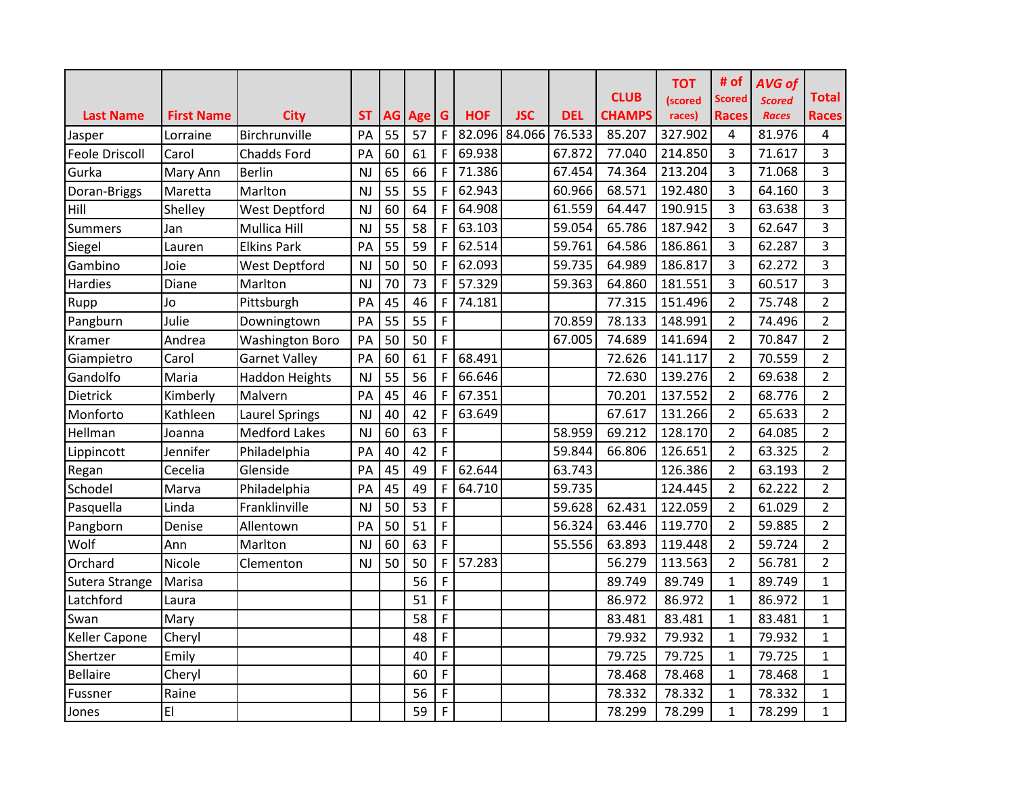|                       |                   |                        |           |           |     |             |            |            |            | <b>CLUB</b>   | <b>TOT</b><br>(scored | # of<br><b>Scored</b> | <b>AVG of</b><br><b>Scored</b> | <b>Total</b>   |
|-----------------------|-------------------|------------------------|-----------|-----------|-----|-------------|------------|------------|------------|---------------|-----------------------|-----------------------|--------------------------------|----------------|
| <b>Last Name</b>      | <b>First Name</b> | <b>City</b>            | <b>ST</b> | <b>AG</b> | Age | G           | <b>HOF</b> | <b>JSC</b> | <b>DEL</b> | <b>CHAMPS</b> | races)                | <b>Races</b>          | <b>Races</b>                   | <b>Races</b>   |
| Jasper                | Lorraine          | Birchrunville          | PA        | 55        | 57  | F           | 82.096     | 84.066     | 76.533     | 85.207        | 327.902               | 4                     | 81.976                         | 4              |
| <b>Feole Driscoll</b> | Carol             | <b>Chadds Ford</b>     | PA        | 60        | 61  | F           | 69.938     |            | 67.872     | 77.040        | 214.850               | 3                     | 71.617                         | 3              |
| Gurka                 | Mary Ann          | <b>Berlin</b>          | NJ        | 65        | 66  | F           | 71.386     |            | 67.454     | 74.364        | 213.204               | 3                     | 71.068                         | 3              |
| Doran-Briggs          | Maretta           | Marlton                | NJ        | 55        | 55  | F           | 62.943     |            | 60.966     | 68.571        | 192.480               | 3                     | 64.160                         | 3              |
| Hill                  | Shelley           | <b>West Deptford</b>   | NJ        | 60        | 64  | F           | 64.908     |            | 61.559     | 64.447        | 190.915               | 3                     | 63.638                         | 3              |
| <b>Summers</b>        | Jan               | Mullica Hill           | NJ        | 55        | 58  | $\mathsf F$ | 63.103     |            | 59.054     | 65.786        | 187.942               | 3                     | 62.647                         | 3              |
| Siegel                | Lauren            | <b>Elkins Park</b>     | PA        | 55        | 59  | F           | 62.514     |            | 59.761     | 64.586        | 186.861               | 3                     | 62.287                         | 3              |
| Gambino               | Joie              | <b>West Deptford</b>   | NJ        | 50        | 50  | F           | 62.093     |            | 59.735     | 64.989        | 186.817               | 3                     | 62.272                         | 3              |
| <b>Hardies</b>        | Diane             | Marlton                | <b>NJ</b> | 70        | 73  | $\mathsf F$ | 57.329     |            | 59.363     | 64.860        | 181.551               | 3                     | 60.517                         | 3              |
| Rupp                  | Jo                | Pittsburgh             | PA        | 45        | 46  | $\mathsf F$ | 74.181     |            |            | 77.315        | 151.496               | $\overline{2}$        | 75.748                         | $\overline{2}$ |
| Pangburn              | Julie             | Downingtown            | PA        | 55        | 55  | F           |            |            | 70.859     | 78.133        | 148.991               | $\overline{2}$        | 74.496                         | $\overline{2}$ |
| Kramer                | Andrea            | <b>Washington Boro</b> | PA        | 50        | 50  | F           |            |            | 67.005     | 74.689        | 141.694               | 2                     | 70.847                         | $\overline{2}$ |
| Giampietro            | Carol             | <b>Garnet Valley</b>   | PA        | 60        | 61  | F           | 68.491     |            |            | 72.626        | 141.117               | $\overline{2}$        | 70.559                         | $\overline{2}$ |
| Gandolfo              | Maria             | Haddon Heights         | NJ        | 55        | 56  | F           | 66.646     |            |            | 72.630        | 139.276               | 2                     | 69.638                         | $\overline{2}$ |
| Dietrick              | Kimberly          | Malvern                | PA        | 45        | 46  | F           | 67.351     |            |            | 70.201        | 137.552               | $\overline{2}$        | 68.776                         | $\overline{2}$ |
| Monforto              | Kathleen          | <b>Laurel Springs</b>  | <b>NJ</b> | 40        | 42  | F           | 63.649     |            |            | 67.617        | 131.266               | $\overline{2}$        | 65.633                         | $\overline{2}$ |
| Hellman               | Joanna            | <b>Medford Lakes</b>   | NJ        | 60        | 63  | $\mathsf F$ |            |            | 58.959     | 69.212        | 128.170               | $\overline{2}$        | 64.085                         | $\overline{2}$ |
| Lippincott            | Jennifer          | Philadelphia           | PA        | 40        | 42  | F           |            |            | 59.844     | 66.806        | 126.651               | $\overline{2}$        | 63.325                         | $\overline{2}$ |
| Regan                 | Cecelia           | Glenside               | PA        | 45        | 49  | F           | 62.644     |            | 63.743     |               | 126.386               | $\overline{2}$        | 63.193                         | $\overline{2}$ |
| Schodel               | Marva             | Philadelphia           | PA        | 45        | 49  | F           | 64.710     |            | 59.735     |               | 124.445               | $\overline{2}$        | 62.222                         | $\overline{2}$ |
| Pasquella             | Linda             | Franklinville          | <b>NJ</b> | 50        | 53  | F           |            |            | 59.628     | 62.431        | 122.059               | $\overline{2}$        | 61.029                         | $\overline{2}$ |
| Pangborn              | Denise            | Allentown              | PA        | 50        | 51  | F           |            |            | 56.324     | 63.446        | 119.770               | 2                     | 59.885                         | $\overline{2}$ |
| Wolf                  | Ann               | Marlton                | NJ        | 60        | 63  | F           |            |            | 55.556     | 63.893        | 119.448               | $\overline{2}$        | 59.724                         | $\overline{2}$ |
| Orchard               | Nicole            | Clementon              | NJ        | 50        | 50  | F           | 57.283     |            |            | 56.279        | 113.563               | $\overline{2}$        | 56.781                         | $\overline{2}$ |
| Sutera Strange        | Marisa            |                        |           |           | 56  | F           |            |            |            | 89.749        | 89.749                | $\mathbf{1}$          | 89.749                         | $\mathbf{1}$   |
| Latchford             | Laura             |                        |           |           | 51  | F           |            |            |            | 86.972        | 86.972                | $\mathbf{1}$          | 86.972                         | $\mathbf{1}$   |
| Swan                  | Mary              |                        |           |           | 58  | F           |            |            |            | 83.481        | 83.481                | $\mathbf{1}$          | 83.481                         | $\mathbf{1}$   |
| <b>Keller Capone</b>  | Cheryl            |                        |           |           | 48  | F           |            |            |            | 79.932        | 79.932                | $\mathbf{1}$          | 79.932                         | $\mathbf{1}$   |
| Shertzer              | Emily             |                        |           |           | 40  | F           |            |            |            | 79.725        | 79.725                | $\mathbf{1}$          | 79.725                         | $\mathbf{1}$   |
| <b>Bellaire</b>       | Cheryl            |                        |           |           | 60  | F           |            |            |            | 78.468        | 78.468                | $\mathbf{1}$          | 78.468                         | $\mathbf{1}$   |
| Fussner               | Raine             |                        |           |           | 56  | F           |            |            |            | 78.332        | 78.332                | $\mathbf{1}$          | 78.332                         | $\mathbf{1}$   |
| Jones                 | EI                |                        |           |           | 59  | F           |            |            |            | 78.299        | 78.299                | $\mathbf{1}$          | 78.299                         | $\mathbf{1}$   |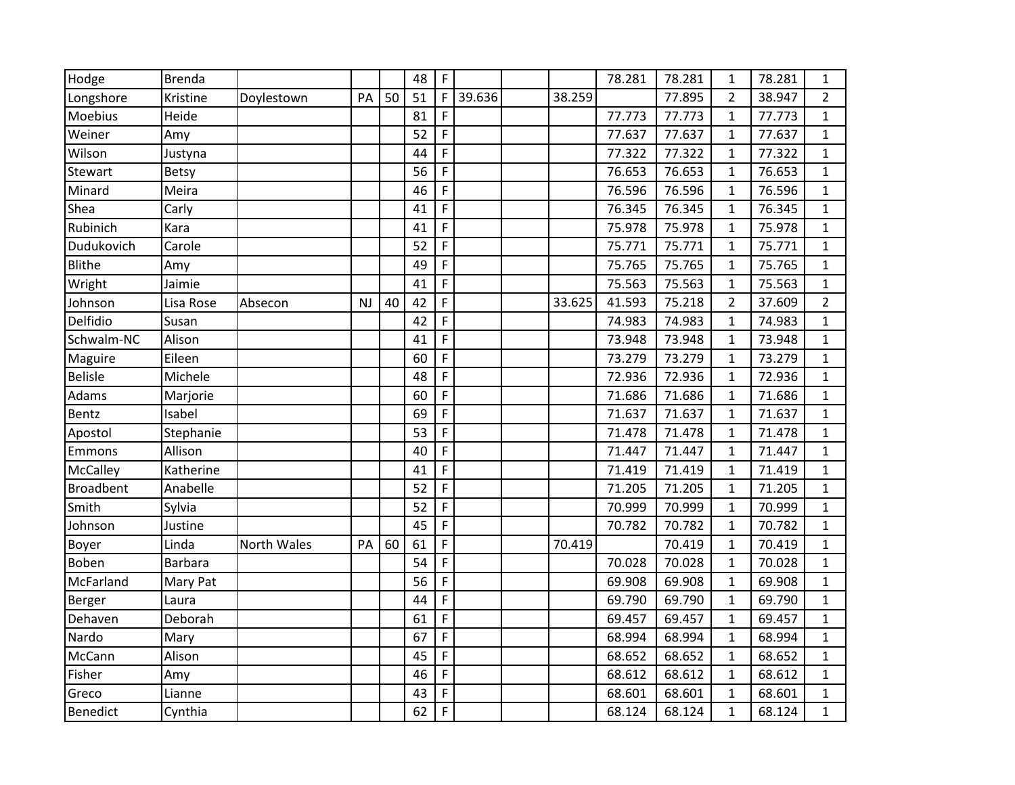| Hodge            | <b>Brenda</b>  |             |    |    | 48 | $\mathsf F$    |        |        | 78.281 | 78.281 | 1              | 78.281 | $\mathbf{1}$   |
|------------------|----------------|-------------|----|----|----|----------------|--------|--------|--------|--------|----------------|--------|----------------|
| Longshore        | Kristine       | Doylestown  | PA | 50 | 51 | $\mathsf{F}$   | 39.636 | 38.259 |        | 77.895 | $\overline{2}$ | 38.947 | $\overline{2}$ |
| Moebius          | Heide          |             |    |    | 81 | F              |        |        | 77.773 | 77.773 | $\mathbf{1}$   | 77.773 | $\mathbf{1}$   |
| Weiner           | Amy            |             |    |    | 52 | $\overline{F}$ |        |        | 77.637 | 77.637 | $\mathbf{1}$   | 77.637 | $\mathbf{1}$   |
| Wilson           | Justyna        |             |    |    | 44 | $\mathsf F$    |        |        | 77.322 | 77.322 | $\mathbf{1}$   | 77.322 | $\mathbf{1}$   |
| Stewart          | Betsy          |             |    |    | 56 | $\mathsf F$    |        |        | 76.653 | 76.653 | $\mathbf{1}$   | 76.653 | $\mathbf{1}$   |
| Minard           | Meira          |             |    |    | 46 | $\mathsf F$    |        |        | 76.596 | 76.596 | $\mathbf{1}$   | 76.596 | $\mathbf{1}$   |
| Shea             | Carly          |             |    |    | 41 | $\mathsf F$    |        |        | 76.345 | 76.345 | $\mathbf{1}$   | 76.345 | $\mathbf{1}$   |
| Rubinich         | Kara           |             |    |    | 41 | F              |        |        | 75.978 | 75.978 | $\mathbf{1}$   | 75.978 | 1              |
| Dudukovich       | Carole         |             |    |    | 52 | $\mathsf F$    |        |        | 75.771 | 75.771 | $\mathbf{1}$   | 75.771 | $\mathbf{1}$   |
| <b>Blithe</b>    | Amy            |             |    |    | 49 | $\mathsf F$    |        |        | 75.765 | 75.765 | $\mathbf{1}$   | 75.765 | $\mathbf{1}$   |
| Wright           | Jaimie         |             |    |    | 41 | $\mathsf F$    |        |        | 75.563 | 75.563 | $\mathbf{1}$   | 75.563 | $\mathbf{1}$   |
| Johnson          | Lisa Rose      | Absecon     | NJ | 40 | 42 | $\mathsf F$    |        | 33.625 | 41.593 | 75.218 | $\overline{2}$ | 37.609 | $\overline{2}$ |
| Delfidio         | Susan          |             |    |    | 42 | $\mathsf{F}$   |        |        | 74.983 | 74.983 | $\mathbf{1}$   | 74.983 | $\mathbf{1}$   |
| Schwalm-NC       | Alison         |             |    |    | 41 | $\mathsf F$    |        |        | 73.948 | 73.948 | $\mathbf{1}$   | 73.948 | $\mathbf{1}$   |
| Maguire          | Eileen         |             |    |    | 60 | $\mathsf F$    |        |        | 73.279 | 73.279 | $\mathbf{1}$   | 73.279 | $\mathbf{1}$   |
| <b>Belisle</b>   | Michele        |             |    |    | 48 | $\mathsf F$    |        |        | 72.936 | 72.936 | $\mathbf{1}$   | 72.936 | 1              |
| Adams            | Marjorie       |             |    |    | 60 | $\mathsf F$    |        |        | 71.686 | 71.686 | $\mathbf{1}$   | 71.686 | $\mathbf{1}$   |
| Bentz            | Isabel         |             |    |    | 69 | $\overline{F}$ |        |        | 71.637 | 71.637 | $\mathbf{1}$   | 71.637 | $\mathbf{1}$   |
| Apostol          | Stephanie      |             |    |    | 53 | $\mathsf F$    |        |        | 71.478 | 71.478 | $\mathbf{1}$   | 71.478 | $\mathbf{1}$   |
| Emmons           | Allison        |             |    |    | 40 | $\mathsf F$    |        |        | 71.447 | 71.447 | $\mathbf{1}$   | 71.447 | $\mathbf{1}$   |
| McCalley         | Katherine      |             |    |    | 41 | $\mathsf{F}$   |        |        | 71.419 | 71.419 | $\mathbf{1}$   | 71.419 | $\mathbf{1}$   |
| <b>Broadbent</b> | Anabelle       |             |    |    | 52 | $\mathsf F$    |        |        | 71.205 | 71.205 | $\mathbf{1}$   | 71.205 | $\mathbf{1}$   |
| Smith            | Sylvia         |             |    |    | 52 | $\mathsf F$    |        |        | 70.999 | 70.999 | $\mathbf{1}$   | 70.999 | $\mathbf{1}$   |
| Johnson          | Justine        |             |    |    | 45 | $\mathsf F$    |        |        | 70.782 | 70.782 | $\mathbf{1}$   | 70.782 | 1              |
| Boyer            | Linda          | North Wales | PA | 60 | 61 | $\mathsf F$    |        | 70.419 |        | 70.419 | $\mathbf{1}$   | 70.419 | $\mathbf{1}$   |
| Boben            | <b>Barbara</b> |             |    |    | 54 | $\mathsf F$    |        |        | 70.028 | 70.028 | $\mathbf{1}$   | 70.028 | $\mathbf{1}$   |
| McFarland        | Mary Pat       |             |    |    | 56 | $\mathsf F$    |        |        | 69.908 | 69.908 | $\mathbf{1}$   | 69.908 | $\mathbf{1}$   |
| Berger           | Laura          |             |    |    | 44 | $\mathsf F$    |        |        | 69.790 | 69.790 | $\mathbf{1}$   | 69.790 | $\mathbf{1}$   |
| Dehaven          | Deborah        |             |    |    | 61 | $\mathsf F$    |        |        | 69.457 | 69.457 | $\mathbf{1}$   | 69.457 | 1              |
| Nardo            | Mary           |             |    |    | 67 | $\mathsf F$    |        |        | 68.994 | 68.994 | $\mathbf{1}$   | 68.994 | $\mathbf{1}$   |
| McCann           | Alison         |             |    |    | 45 | $\mathsf F$    |        |        | 68.652 | 68.652 | $\mathbf{1}$   | 68.652 | 1              |
| Fisher           | Amy            |             |    |    | 46 | $\mathsf F$    |        |        | 68.612 | 68.612 | $\mathbf{1}$   | 68.612 | $\mathbf{1}$   |
| Greco            | Lianne         |             |    |    | 43 | $\mathsf F$    |        |        | 68.601 | 68.601 | $\mathbf{1}$   | 68.601 | $\mathbf{1}$   |
| <b>Benedict</b>  | Cynthia        |             |    |    | 62 | $\mathsf F$    |        |        | 68.124 | 68.124 | $\mathbf{1}$   | 68.124 | $\mathbf{1}$   |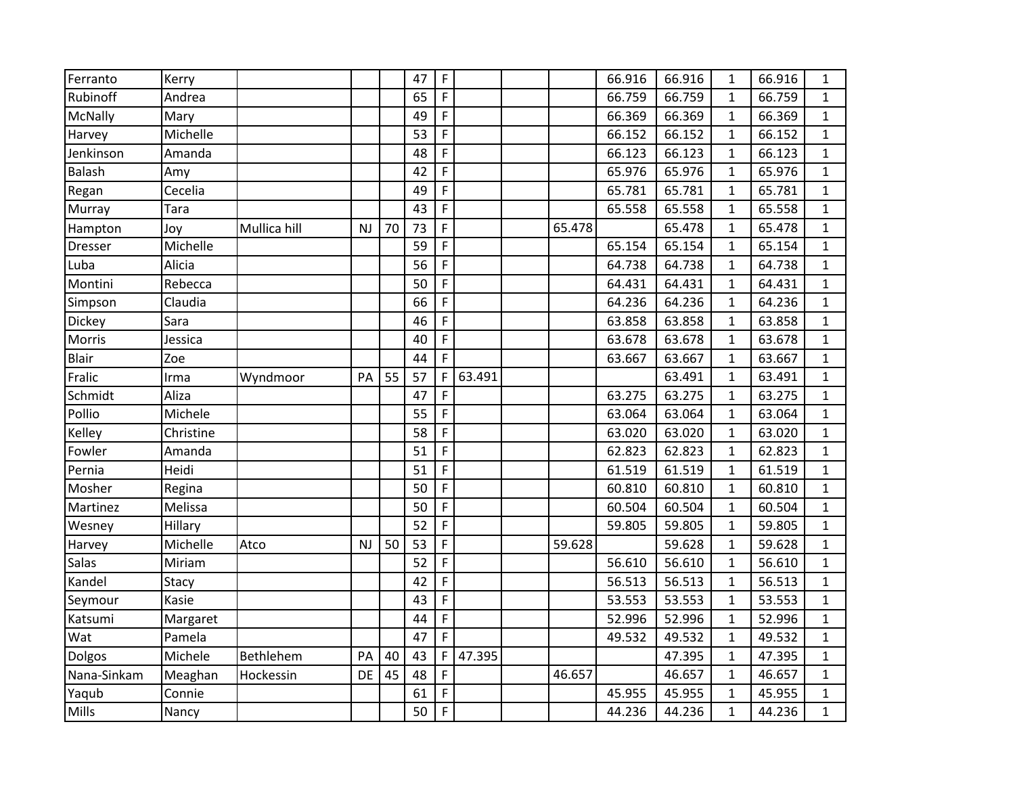| Ferranto      | Kerry     |              |    |    | 47 | $\mathsf F$  |        |        | 66.916 | 66.916 | $\mathbf{1}$ | 66.916 | $\mathbf{1}$ |
|---------------|-----------|--------------|----|----|----|--------------|--------|--------|--------|--------|--------------|--------|--------------|
| Rubinoff      | Andrea    |              |    |    | 65 | F            |        |        | 66.759 | 66.759 | $\mathbf{1}$ | 66.759 | 1            |
| McNally       | Mary      |              |    |    | 49 | $\mathsf{F}$ |        |        | 66.369 | 66.369 | $\mathbf{1}$ | 66.369 | 1            |
| Harvey        | Michelle  |              |    |    | 53 | $\mathsf F$  |        |        | 66.152 | 66.152 | $\mathbf{1}$ | 66.152 | $\mathbf{1}$ |
| Jenkinson     | Amanda    |              |    |    | 48 | $\mathsf F$  |        |        | 66.123 | 66.123 | $\mathbf{1}$ | 66.123 | $\mathbf{1}$ |
| Balash        | Amy       |              |    |    | 42 | $\mathsf{F}$ |        |        | 65.976 | 65.976 | $\mathbf{1}$ | 65.976 | $\mathbf{1}$ |
| Regan         | Cecelia   |              |    |    | 49 | $\mathsf{F}$ |        |        | 65.781 | 65.781 | $\mathbf{1}$ | 65.781 | 1            |
| Murray        | Tara      |              |    |    | 43 | $\mathsf F$  |        |        | 65.558 | 65.558 | $\mathbf{1}$ | 65.558 | $\mathbf{1}$ |
| Hampton       | Joy       | Mullica hill | NJ | 70 | 73 | $\mathsf F$  |        | 65.478 |        | 65.478 | $\mathbf{1}$ | 65.478 | $\mathbf{1}$ |
| Dresser       | Michelle  |              |    |    | 59 | F            |        |        | 65.154 | 65.154 | $\mathbf{1}$ | 65.154 | $\mathbf{1}$ |
| Luba          | Alicia    |              |    |    | 56 | $\mathsf{F}$ |        |        | 64.738 | 64.738 | $\mathbf{1}$ | 64.738 | $\mathbf{1}$ |
| Montini       | Rebecca   |              |    |    | 50 | $\mathsf F$  |        |        | 64.431 | 64.431 | $\mathbf{1}$ | 64.431 | $\mathbf{1}$ |
| Simpson       | Claudia   |              |    |    | 66 | $\mathsf F$  |        |        | 64.236 | 64.236 | $\mathbf{1}$ | 64.236 | $\mathbf{1}$ |
| <b>Dickey</b> | Sara      |              |    |    | 46 | $\mathsf F$  |        |        | 63.858 | 63.858 | $\mathbf{1}$ | 63.858 | 1            |
| Morris        | Jessica   |              |    |    | 40 | $\mathsf{F}$ |        |        | 63.678 | 63.678 | $\mathbf{1}$ | 63.678 | $\mathbf{1}$ |
| <b>Blair</b>  | Zoe       |              |    |    | 44 | $\mathsf F$  |        |        | 63.667 | 63.667 | $\mathbf{1}$ | 63.667 | $\mathbf{1}$ |
| Fralic        | Irma      | Wyndmoor     | PA | 55 | 57 | F            | 63.491 |        |        | 63.491 | $\mathbf{1}$ | 63.491 | $\mathbf{1}$ |
| Schmidt       | Aliza     |              |    |    | 47 | F            |        |        | 63.275 | 63.275 | $\mathbf{1}$ | 63.275 | $\mathbf{1}$ |
| Pollio        | Michele   |              |    |    | 55 | $\mathsf F$  |        |        | 63.064 | 63.064 | $\mathbf{1}$ | 63.064 | $\mathbf{1}$ |
| Kelley        | Christine |              |    |    | 58 | $\mathsf F$  |        |        | 63.020 | 63.020 | $\mathbf{1}$ | 63.020 | $\mathbf{1}$ |
| Fowler        | Amanda    |              |    |    | 51 | $\mathsf F$  |        |        | 62.823 | 62.823 | $\mathbf{1}$ | 62.823 | $\mathbf{1}$ |
| Pernia        | Heidi     |              |    |    | 51 | $\mathsf F$  |        |        | 61.519 | 61.519 | $\mathbf{1}$ | 61.519 | $\mathbf{1}$ |
| Mosher        | Regina    |              |    |    | 50 | $\mathsf F$  |        |        | 60.810 | 60.810 | $\mathbf{1}$ | 60.810 | $\mathbf{1}$ |
| Martinez      | Melissa   |              |    |    | 50 | $\mathsf F$  |        |        | 60.504 | 60.504 | $\mathbf{1}$ | 60.504 | $\mathbf{1}$ |
| Wesney        | Hillary   |              |    |    | 52 | $\mathsf F$  |        |        | 59.805 | 59.805 | $\mathbf{1}$ | 59.805 | $\mathbf{1}$ |
| Harvey        | Michelle  | Atco         | NJ | 50 | 53 | $\mathsf F$  |        | 59.628 |        | 59.628 | $\mathbf{1}$ | 59.628 | $\mathbf{1}$ |
| <b>Salas</b>  | Miriam    |              |    |    | 52 | $\mathsf F$  |        |        | 56.610 | 56.610 | $\mathbf{1}$ | 56.610 | $\mathbf{1}$ |
| Kandel        | Stacy     |              |    |    | 42 | $\mathsf{F}$ |        |        | 56.513 | 56.513 | $\mathbf{1}$ | 56.513 | $\mathbf{1}$ |
| Seymour       | Kasie     |              |    |    | 43 | $\mathsf F$  |        |        | 53.553 | 53.553 | $\mathbf{1}$ | 53.553 | $\mathbf{1}$ |
| Katsumi       | Margaret  |              |    |    | 44 | $\mathsf F$  |        |        | 52.996 | 52.996 | $\mathbf{1}$ | 52.996 | $\mathbf{1}$ |
| Wat           | Pamela    |              |    |    | 47 | F            |        |        | 49.532 | 49.532 | $\mathbf{1}$ | 49.532 | $\mathbf{1}$ |
| Dolgos        | Michele   | Bethlehem    | PA | 40 | 43 | $\mathsf{F}$ | 47.395 |        |        | 47.395 | $\mathbf{1}$ | 47.395 | $\mathbf{1}$ |
| Nana-Sinkam   | Meaghan   | Hockessin    | DE | 45 | 48 | F            |        | 46.657 |        | 46.657 | $\mathbf{1}$ | 46.657 | 1            |
| Yaqub         | Connie    |              |    |    | 61 | F            |        |        | 45.955 | 45.955 | $\mathbf{1}$ | 45.955 | $\mathbf{1}$ |
| Mills         | Nancy     |              |    |    | 50 | $\mathsf F$  |        |        | 44.236 | 44.236 | $\mathbf{1}$ | 44.236 | $\mathbf{1}$ |
|               |           |              |    |    |    |              |        |        |        |        |              |        |              |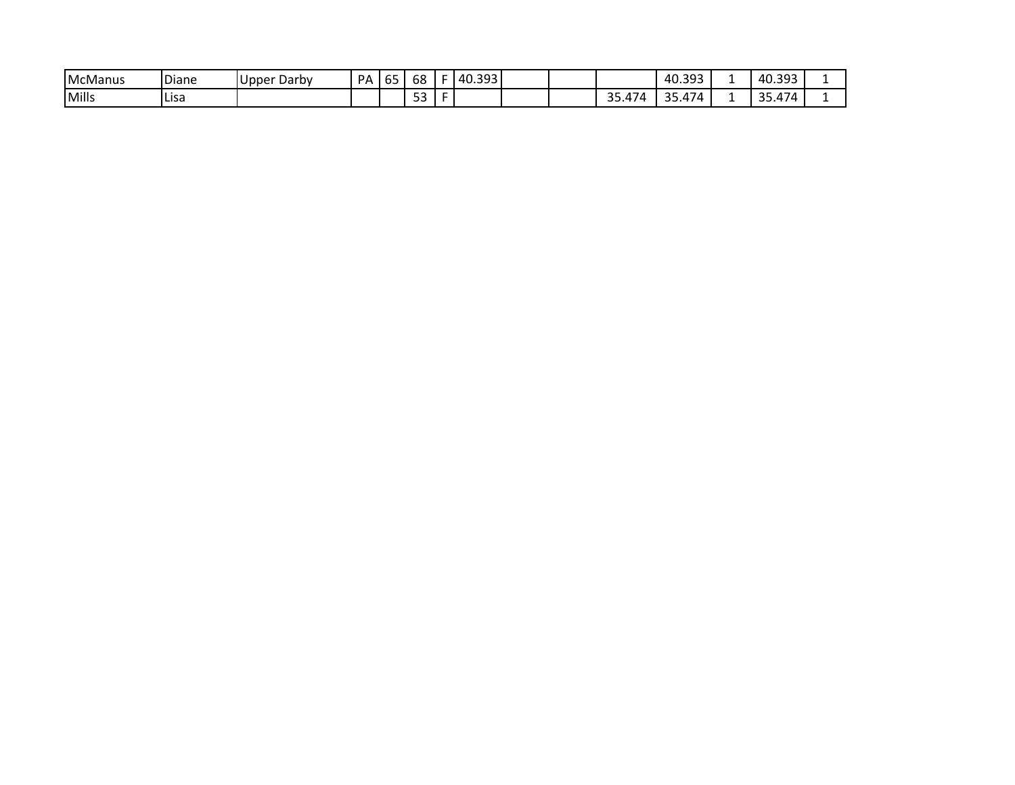| <b>IMcManus</b> | <b>Diane</b> | Darby<br>, Upper | <b>PA</b> | $-$<br>כס | 68            | $-140.3$ 95. |  |                                    | 40.393                                               | 40.392<br>rv.JJJ                                                           |  |
|-----------------|--------------|------------------|-----------|-----------|---------------|--------------|--|------------------------------------|------------------------------------------------------|----------------------------------------------------------------------------|--|
| Mills           | Lisa         |                  |           |           | $ \sim$<br>ーー |              |  | $-1$<br>$\sim$ $\sim$<br>. 74<br>ັ | $\overline{\phantom{a}}$<br>$\cap$<br><i>AI</i><br>ັ | $\sim$<br>$\mathbf{r}$<br>$\overline{I}$<br>$\overline{\phantom{a}}$<br>-- |  |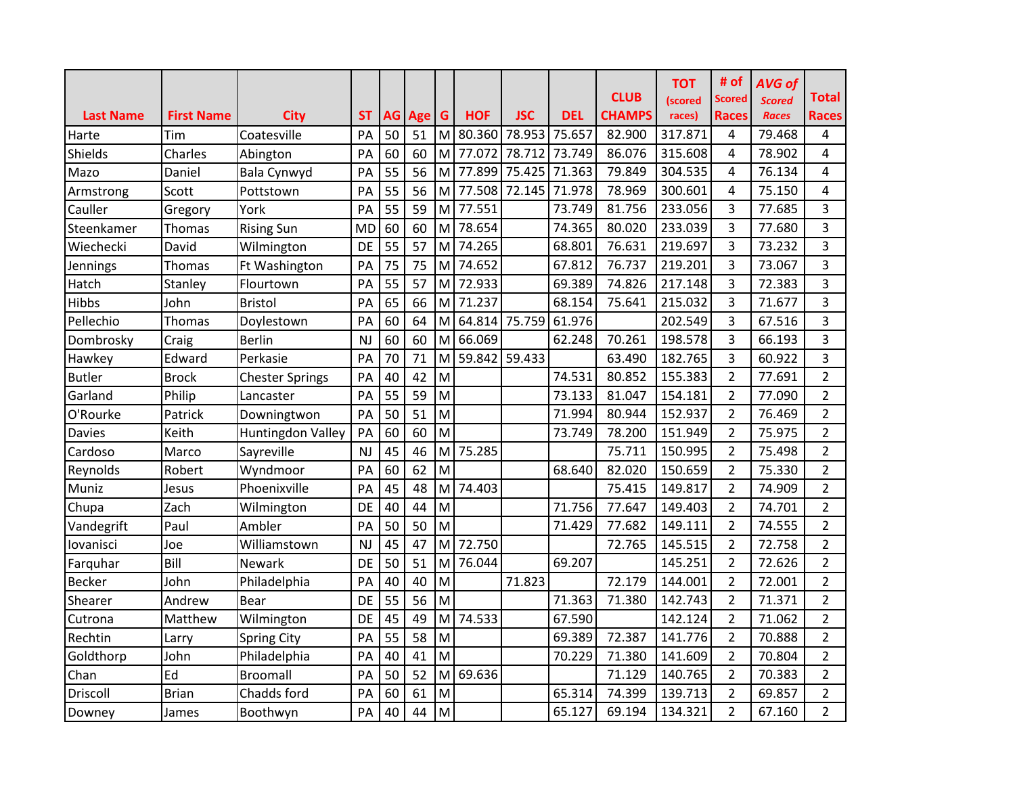|                           |                          |                            |                 |    |                |   |            |                               |                      | <b>CLUB</b>             | <b>TOT</b><br>(scored | # of<br>Scored    | <b>AVG of</b><br><b>Scored</b> | <b>Total</b>      |
|---------------------------|--------------------------|----------------------------|-----------------|----|----------------|---|------------|-------------------------------|----------------------|-------------------------|-----------------------|-------------------|--------------------------------|-------------------|
| <b>Last Name</b><br>Harte | <b>First Name</b><br>Tim | <b>City</b><br>Coatesville | <b>ST</b><br>PA | 50 | AG Age G<br>51 |   | <b>HOF</b> | <b>JSC</b><br>M 80.360 78.953 | <b>DEL</b><br>75.657 | <b>CHAMPS</b><br>82.900 | races)<br>317.871     | <b>Races</b><br>4 | <b>Races</b><br>79.468         | <b>Races</b><br>4 |
| Shields                   | Charles                  | Abington                   | PA              | 60 | 60             |   | M 77.072   | 78.712                        | 73.749               | 86.076                  | 315.608               | 4                 | 78.902                         | 4                 |
| Mazo                      | Daniel                   | Bala Cynwyd                | PA              | 55 | 56             |   | M 77.899   | 75.425 71.363                 |                      | 79.849                  | 304.535               | 4                 | 76.134                         | 4                 |
| Armstrong                 | Scott                    | Pottstown                  | PA              | 55 | 56             | M |            | 77.508 72.145 71.978          |                      | 78.969                  | 300.601               | 4                 | 75.150                         | 4                 |
| Cauller                   | Gregory                  | York                       | PA              | 55 | 59             |   | M 77.551   |                               | 73.749               | 81.756                  | 233.056               | 3                 | 77.685                         | 3                 |
| Steenkamer                | Thomas                   | <b>Rising Sun</b>          | <b>MD</b>       | 60 | 60             | M | 78.654     |                               | 74.365               | 80.020                  | 233.039               | 3                 | 77.680                         | 3                 |
| Wiechecki                 | David                    | Wilmington                 | DE              | 55 | 57             | M | 74.265     |                               | 68.801               | 76.631                  | 219.697               | 3                 | 73.232                         | 3                 |
| Jennings                  | Thomas                   | Ft Washington              | PA              | 75 | 75             | M | 74.652     |                               | 67.812               | 76.737                  | 219.201               | 3                 | 73.067                         | 3                 |
| Hatch                     | Stanley                  | Flourtown                  | PA              | 55 | 57             | M | 72.933     |                               | 69.389               | 74.826                  | 217.148               | 3                 | 72.383                         | 3                 |
| Hibbs                     | John                     | <b>Bristol</b>             | PA              | 65 | 66             | M | 71.237     |                               | 68.154               | 75.641                  | 215.032               | 3                 | 71.677                         | 3                 |
| Pellechio                 | Thomas                   | Doylestown                 | PA              | 60 | 64             | M |            | 64.814 75.759                 | 61.976               |                         | 202.549               | 3                 | 67.516                         | 3                 |
| Dombrosky                 | Craig                    | <b>Berlin</b>              | <b>NJ</b>       | 60 | 60             | M | 66.069     |                               | 62.248               | 70.261                  | 198.578               | 3                 | 66.193                         | 3                 |
| Hawkey                    | Edward                   | Perkasie                   | PA              | 70 | 71             | M |            | 59.842 59.433                 |                      | 63.490                  | 182.765               | 3                 | 60.922                         | 3                 |
| <b>Butler</b>             | <b>Brock</b>             | <b>Chester Springs</b>     | PA              | 40 | 42             | M |            |                               | 74.531               | 80.852                  | 155.383               | $\overline{2}$    | 77.691                         | $\overline{2}$    |
| Garland                   | Philip                   | Lancaster                  | PA              | 55 | 59             | M |            |                               | 73.133               | 81.047                  | 154.181               | $\overline{2}$    | 77.090                         | $\overline{2}$    |
| O'Rourke                  | Patrick                  | Downingtwon                | PA              | 50 | 51             | M |            |                               | 71.994               | 80.944                  | 152.937               | $\overline{2}$    | 76.469                         | $\overline{2}$    |
| <b>Davies</b>             | Keith                    | Huntingdon Valley          | PA              | 60 | 60             | M |            |                               | 73.749               | 78.200                  | 151.949               | $\overline{2}$    | 75.975                         | $\overline{2}$    |
| Cardoso                   | Marco                    | Sayreville                 | NJ              | 45 | 46             | M | 75.285     |                               |                      | 75.711                  | 150.995               | $\overline{2}$    | 75.498                         | $\overline{2}$    |
| Reynolds                  | Robert                   | Wyndmoor                   | PA              | 60 | 62             | M |            |                               | 68.640               | 82.020                  | 150.659               | $\overline{2}$    | 75.330                         | $\overline{2}$    |
| Muniz                     | Jesus                    | Phoenixville               | PA              | 45 | 48             | M | 74.403     |                               |                      | 75.415                  | 149.817               | $\overline{2}$    | 74.909                         | $\overline{2}$    |
| Chupa                     | Zach                     | Wilmington                 | DE              | 40 | 44             | M |            |                               | 71.756               | 77.647                  | 149.403               | $\overline{2}$    | 74.701                         | $\overline{2}$    |
| Vandegrift                | Paul                     | Ambler                     | PA              | 50 | 50             | M |            |                               | 71.429               | 77.682                  | 149.111               | $\overline{2}$    | 74.555                         | $\overline{2}$    |
| lovanisci                 | Joe                      | Williamstown               | <b>NJ</b>       | 45 | 47             | M | 72.750     |                               |                      | 72.765                  | 145.515               | $\overline{2}$    | 72.758                         | $\overline{2}$    |
| Farquhar                  | Bill                     | Newark                     | DE              | 50 | 51             | M | 76.044     |                               | 69.207               |                         | 145.251               | $\overline{2}$    | 72.626                         | $\overline{2}$    |
| <b>Becker</b>             | John                     | Philadelphia               | PA              | 40 | 40             | M |            | 71.823                        |                      | 72.179                  | 144.001               | $\overline{2}$    | 72.001                         | $\overline{2}$    |
| Shearer                   | Andrew                   | Bear                       | DE              | 55 | 56             | M |            |                               | 71.363               | 71.380                  | 142.743               | $\overline{2}$    | 71.371                         | $\overline{2}$    |
| Cutrona                   | Matthew                  | Wilmington                 | DE              | 45 | 49             | M | 74.533     |                               | 67.590               |                         | 142.124               | $\overline{2}$    | 71.062                         | $\overline{2}$    |
| Rechtin                   | Larry                    | <b>Spring City</b>         | PA              | 55 | 58             | M |            |                               | 69.389               | 72.387                  | 141.776               | $\overline{2}$    | 70.888                         | $\overline{2}$    |
| Goldthorp                 | John                     | Philadelphia               | PA              | 40 | 41             | M |            |                               | 70.229               | 71.380                  | 141.609               | $\overline{2}$    | 70.804                         | $\overline{2}$    |
| Chan                      | Ed                       | <b>Broomall</b>            | PA              | 50 | 52             | M | 69.636     |                               |                      | 71.129                  | 140.765               | $\overline{2}$    | 70.383                         | $\overline{2}$    |
| Driscoll                  | <b>Brian</b>             | Chadds ford                | PA              | 60 | 61             | M |            |                               | 65.314               | 74.399                  | 139.713               | $\overline{2}$    | 69.857                         | $\overline{2}$    |
| Downey                    | James                    | Boothwyn                   | PA              | 40 | 44             | M |            |                               | 65.127               | 69.194                  | 134.321               | $\overline{2}$    | 67.160                         | 2                 |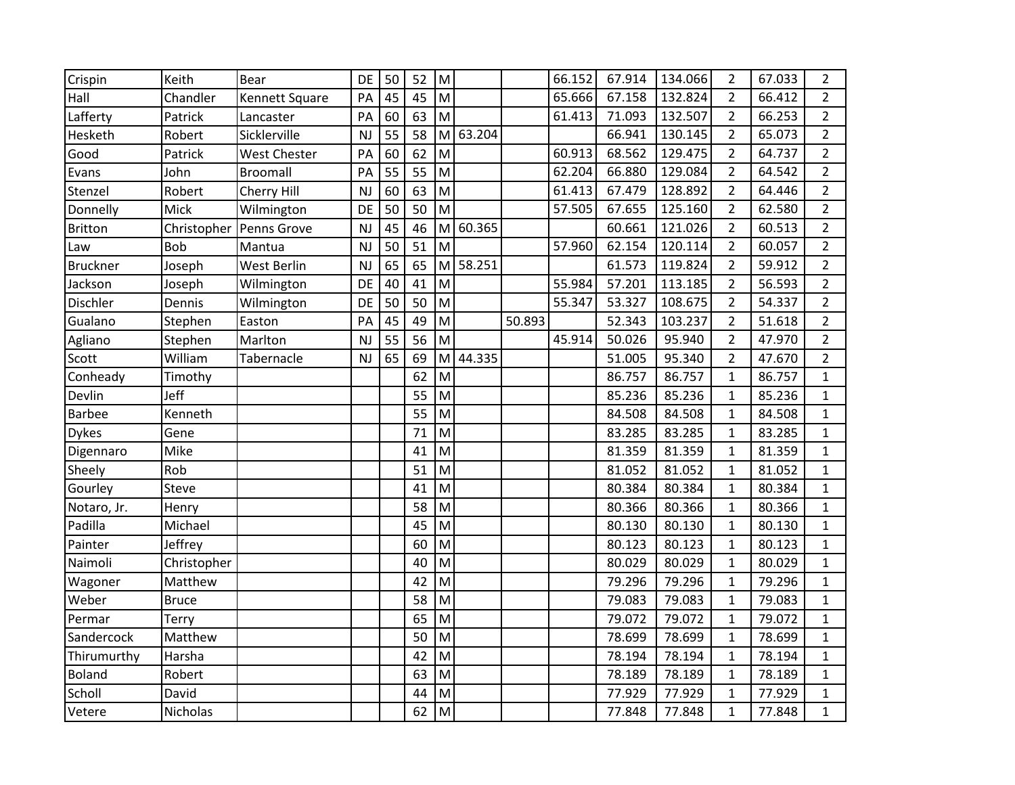| Crispin         | Keith       | <b>Bear</b>         | DE        | 50 | 52 | M                                                                                                          |        |        | 66.152 | 67.914 | 134.066 | $\overline{2}$ | 67.033 | $\overline{2}$ |
|-----------------|-------------|---------------------|-----------|----|----|------------------------------------------------------------------------------------------------------------|--------|--------|--------|--------|---------|----------------|--------|----------------|
| Hall            | Chandler    | Kennett Square      | PA        | 45 | 45 | M                                                                                                          |        |        | 65.666 | 67.158 | 132.824 | $\overline{2}$ | 66.412 | $\overline{2}$ |
| Lafferty        | Patrick     | Lancaster           | PA        | 60 | 63 | M                                                                                                          |        |        | 61.413 | 71.093 | 132.507 | $\overline{2}$ | 66.253 | $\overline{2}$ |
| Hesketh         | Robert      | Sicklerville        | <b>NJ</b> | 55 | 58 | $\mathsf{M}% _{T}=\mathsf{M}_{T}\!\left( a,b\right) ,\ \mathsf{M}_{T}=\mathsf{M}_{T}\!\left( a,b\right) ,$ | 63.204 |        |        | 66.941 | 130.145 | $\overline{2}$ | 65.073 | $\overline{2}$ |
| Good            | Patrick     | <b>West Chester</b> | PA        | 60 | 62 | M                                                                                                          |        |        | 60.913 | 68.562 | 129.475 | $\overline{2}$ | 64.737 | $\overline{2}$ |
| Evans           | John        | <b>Broomall</b>     | PA        | 55 | 55 | M                                                                                                          |        |        | 62.204 | 66.880 | 129.084 | $\overline{2}$ | 64.542 | $\overline{2}$ |
| Stenzel         | Robert      | Cherry Hill         | <b>NJ</b> | 60 | 63 | M                                                                                                          |        |        | 61.413 | 67.479 | 128.892 | $\overline{2}$ | 64.446 | $\overline{2}$ |
| Donnelly        | Mick        | Wilmington          | DE        | 50 | 50 | M                                                                                                          |        |        | 57.505 | 67.655 | 125.160 | $\overline{2}$ | 62.580 | $\overline{2}$ |
| Britton         | Christopher | Penns Grove         | NJ        | 45 | 46 | M                                                                                                          | 60.365 |        |        | 60.661 | 121.026 | $\overline{2}$ | 60.513 | $\overline{2}$ |
| Law             | <b>Bob</b>  | Mantua              | <b>NJ</b> | 50 | 51 | M                                                                                                          |        |        | 57.960 | 62.154 | 120.114 | $\overline{2}$ | 60.057 | $\overline{2}$ |
| <b>Bruckner</b> | Joseph      | West Berlin         | <b>NJ</b> | 65 | 65 | M                                                                                                          | 58.251 |        |        | 61.573 | 119.824 | $\overline{2}$ | 59.912 | $\overline{2}$ |
| Jackson         | Joseph      | Wilmington          | DE        | 40 | 41 | M                                                                                                          |        |        | 55.984 | 57.201 | 113.185 | $\overline{2}$ | 56.593 | $\overline{2}$ |
| Dischler        | Dennis      | Wilmington          | DE        | 50 | 50 | M                                                                                                          |        |        | 55.347 | 53.327 | 108.675 | $\overline{2}$ | 54.337 | $\overline{2}$ |
| Gualano         | Stephen     | Easton              | PA        | 45 | 49 | M                                                                                                          |        | 50.893 |        | 52.343 | 103.237 | $\overline{2}$ | 51.618 | $\overline{2}$ |
| Agliano         | Stephen     | Marlton             | <b>NJ</b> | 55 | 56 | M                                                                                                          |        |        | 45.914 | 50.026 | 95.940  | $\overline{2}$ | 47.970 | $\overline{2}$ |
| Scott           | William     | Tabernacle          | NJ        | 65 | 69 | $\mathsf{M}% _{T}=\mathsf{M}_{T}\!\left( a,b\right) ,\ \mathsf{M}_{T}=\mathsf{M}_{T}\!\left( a,b\right) ,$ | 44.335 |        |        | 51.005 | 95.340  | $\overline{2}$ | 47.670 | $\overline{2}$ |
| Conheady        | Timothy     |                     |           |    | 62 | M                                                                                                          |        |        |        | 86.757 | 86.757  | $\mathbf{1}$   | 86.757 | $\mathbf{1}$   |
| Devlin          | Jeff        |                     |           |    | 55 | M                                                                                                          |        |        |        | 85.236 | 85.236  | $\mathbf{1}$   | 85.236 | $\mathbf{1}$   |
| <b>Barbee</b>   | Kenneth     |                     |           |    | 55 | M                                                                                                          |        |        |        | 84.508 | 84.508  | $\mathbf{1}$   | 84.508 | $\mathbf{1}$   |
| <b>Dykes</b>    | Gene        |                     |           |    | 71 | M                                                                                                          |        |        |        | 83.285 | 83.285  | $\mathbf{1}$   | 83.285 | $\mathbf{1}$   |
| Digennaro       | Mike        |                     |           |    | 41 | M                                                                                                          |        |        |        | 81.359 | 81.359  | $\mathbf{1}$   | 81.359 | $\mathbf{1}$   |
| Sheely          | Rob         |                     |           |    | 51 | M                                                                                                          |        |        |        | 81.052 | 81.052  | $\mathbf{1}$   | 81.052 | $\mathbf{1}$   |
| Gourley         | Steve       |                     |           |    | 41 | M                                                                                                          |        |        |        | 80.384 | 80.384  | $\mathbf{1}$   | 80.384 | $\mathbf{1}$   |
| Notaro, Jr.     | Henry       |                     |           |    | 58 | M                                                                                                          |        |        |        | 80.366 | 80.366  | $\mathbf{1}$   | 80.366 | $\mathbf{1}$   |
| Padilla         | Michael     |                     |           |    | 45 | M                                                                                                          |        |        |        | 80.130 | 80.130  | $\mathbf{1}$   | 80.130 | $\mathbf{1}$   |
| Painter         | Jeffrey     |                     |           |    | 60 | M                                                                                                          |        |        |        | 80.123 | 80.123  | $\mathbf{1}$   | 80.123 | $\mathbf{1}$   |
| Naimoli         | Christopher |                     |           |    | 40 | M                                                                                                          |        |        |        | 80.029 | 80.029  | $\mathbf{1}$   | 80.029 | $\mathbf{1}$   |
| Wagoner         | Matthew     |                     |           |    | 42 | M                                                                                                          |        |        |        | 79.296 | 79.296  | $\mathbf{1}$   | 79.296 | $\mathbf{1}$   |
| Weber           | Bruce       |                     |           |    | 58 | M                                                                                                          |        |        |        | 79.083 | 79.083  | $\mathbf{1}$   | 79.083 | $\mathbf{1}$   |
| Permar          | Terry       |                     |           |    | 65 | M                                                                                                          |        |        |        | 79.072 | 79.072  | $\mathbf{1}$   | 79.072 | $\mathbf{1}$   |
| Sandercock      | Matthew     |                     |           |    | 50 | M                                                                                                          |        |        |        | 78.699 | 78.699  | $\mathbf{1}$   | 78.699 | $\mathbf{1}$   |
| Thirumurthy     | Harsha      |                     |           |    | 42 | $\mathsf{M}% _{T}=\mathsf{M}_{T}\!\left( a,b\right) ,\ \mathsf{M}_{T}=\mathsf{M}_{T}$                      |        |        |        | 78.194 | 78.194  | $\mathbf{1}$   | 78.194 | $\mathbf{1}$   |
| <b>Boland</b>   | Robert      |                     |           |    | 63 | M                                                                                                          |        |        |        | 78.189 | 78.189  | $\mathbf{1}$   | 78.189 | $\mathbf{1}$   |
| Scholl          | David       |                     |           |    | 44 | M                                                                                                          |        |        |        | 77.929 | 77.929  | $\mathbf{1}$   | 77.929 | $\mathbf{1}$   |
| Vetere          | Nicholas    |                     |           |    | 62 | M                                                                                                          |        |        |        | 77.848 | 77.848  | $\mathbf{1}$   | 77.848 | $\mathbf{1}$   |
|                 |             |                     |           |    |    |                                                                                                            |        |        |        |        |         |                |        |                |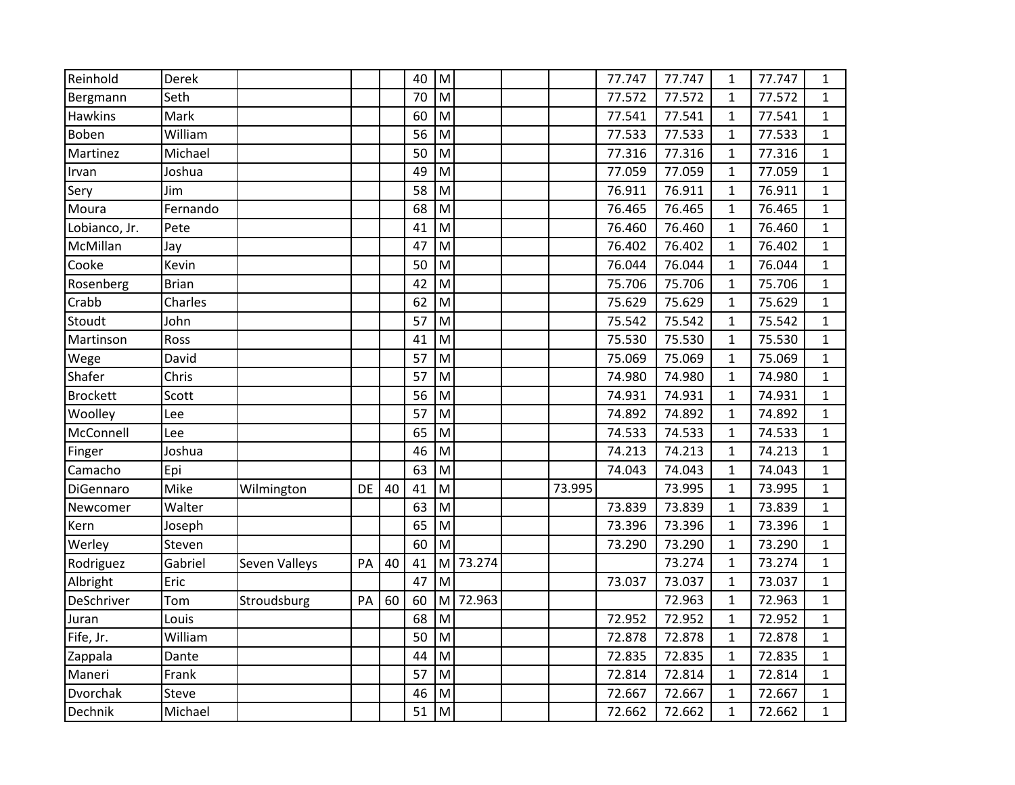| Reinhold        | Derek        |               |    |    | 40 | ${\sf M}$                                                                                                  |        |        | 77.747 | 77.747 | 1            | 77.747 | $\mathbf{1}$ |
|-----------------|--------------|---------------|----|----|----|------------------------------------------------------------------------------------------------------------|--------|--------|--------|--------|--------------|--------|--------------|
| Bergmann        | Seth         |               |    |    | 70 | M                                                                                                          |        |        | 77.572 | 77.572 | $\mathbf{1}$ | 77.572 | 1            |
| <b>Hawkins</b>  | Mark         |               |    |    | 60 | M                                                                                                          |        |        | 77.541 | 77.541 | $\mathbf{1}$ | 77.541 | $\mathbf{1}$ |
| Boben           | William      |               |    |    | 56 | M                                                                                                          |        |        | 77.533 | 77.533 | $\mathbf{1}$ | 77.533 | $\mathbf{1}$ |
| Martinez        | Michael      |               |    |    | 50 | M                                                                                                          |        |        | 77.316 | 77.316 | $\mathbf{1}$ | 77.316 | $\mathbf{1}$ |
| Irvan           | Joshua       |               |    |    | 49 | M                                                                                                          |        |        | 77.059 | 77.059 | $\mathbf{1}$ | 77.059 | $\mathbf{1}$ |
| Sery            | Jim          |               |    |    | 58 | M                                                                                                          |        |        | 76.911 | 76.911 | 1            | 76.911 | $\mathbf{1}$ |
| Moura           | Fernando     |               |    |    | 68 | M                                                                                                          |        |        | 76.465 | 76.465 | $\mathbf{1}$ | 76.465 | 1            |
| Lobianco, Jr.   | Pete         |               |    |    | 41 | M                                                                                                          |        |        | 76.460 | 76.460 | $\mathbf{1}$ | 76.460 | $\mathbf{1}$ |
| McMillan        | Jay          |               |    |    | 47 | M                                                                                                          |        |        | 76.402 | 76.402 | $\mathbf{1}$ | 76.402 | $\mathbf{1}$ |
| Cooke           | Kevin        |               |    |    | 50 | M                                                                                                          |        |        | 76.044 | 76.044 | $\mathbf{1}$ | 76.044 | $\mathbf{1}$ |
| Rosenberg       | <b>Brian</b> |               |    |    | 42 | M                                                                                                          |        |        | 75.706 | 75.706 | $\mathbf{1}$ | 75.706 | $\mathbf{1}$ |
| Crabb           | Charles      |               |    |    | 62 | M                                                                                                          |        |        | 75.629 | 75.629 | $\mathbf{1}$ | 75.629 | $\mathbf{1}$ |
| Stoudt          | John         |               |    |    | 57 | M                                                                                                          |        |        | 75.542 | 75.542 | $\mathbf{1}$ | 75.542 | $\mathbf{1}$ |
| Martinson       | Ross         |               |    |    | 41 | M                                                                                                          |        |        | 75.530 | 75.530 | $\mathbf{1}$ | 75.530 | $\mathbf{1}$ |
| Wege            | David        |               |    |    | 57 | M                                                                                                          |        |        | 75.069 | 75.069 | $\mathbf{1}$ | 75.069 | 1            |
| Shafer          | Chris        |               |    |    | 57 | M                                                                                                          |        |        | 74.980 | 74.980 | $\mathbf{1}$ | 74.980 | 1            |
| <b>Brockett</b> | Scott        |               |    |    | 56 | M                                                                                                          |        |        | 74.931 | 74.931 | $\mathbf{1}$ | 74.931 | $\mathbf{1}$ |
| Woolley         | Lee          |               |    |    | 57 | M                                                                                                          |        |        | 74.892 | 74.892 | $\mathbf{1}$ | 74.892 | $\mathbf{1}$ |
| McConnell       | Lee          |               |    |    | 65 | M                                                                                                          |        |        | 74.533 | 74.533 | $\mathbf{1}$ | 74.533 | $\mathbf{1}$ |
| Finger          | Joshua       |               |    |    | 46 | M                                                                                                          |        |        | 74.213 | 74.213 | $\mathbf{1}$ | 74.213 | $\mathbf{1}$ |
| Camacho         | Epi          |               |    |    | 63 | M                                                                                                          |        |        | 74.043 | 74.043 | $\mathbf{1}$ | 74.043 | $\mathbf{1}$ |
| DiGennaro       | Mike         | Wilmington    | DE | 40 | 41 | M                                                                                                          |        | 73.995 |        | 73.995 | $\mathbf{1}$ | 73.995 | $\mathbf{1}$ |
| Newcomer        | Walter       |               |    |    | 63 | M                                                                                                          |        |        | 73.839 | 73.839 | $\mathbf{1}$ | 73.839 | 1            |
| Kern            | Joseph       |               |    |    | 65 | M                                                                                                          |        |        | 73.396 | 73.396 | $\mathbf{1}$ | 73.396 | $\mathbf{1}$ |
| Werley          | Steven       |               |    |    | 60 | M                                                                                                          |        |        | 73.290 | 73.290 | $\mathbf{1}$ | 73.290 | $\mathbf{1}$ |
| Rodriguez       | Gabriel      | Seven Valleys | PA | 40 | 41 | $\mathsf{M}% _{T}=\mathsf{M}_{T}\!\left( a,b\right) ,\ \mathsf{M}_{T}=\mathsf{M}_{T}\!\left( a,b\right) ,$ | 73.274 |        |        | 73.274 | $\mathbf{1}$ | 73.274 | $\mathbf{1}$ |
| Albright        | Eric         |               |    |    | 47 | M                                                                                                          |        |        | 73.037 | 73.037 | $\mathbf{1}$ | 73.037 | $\mathbf{1}$ |
| DeSchriver      | Tom          | Stroudsburg   | PA | 60 | 60 | M                                                                                                          | 72.963 |        |        | 72.963 | $\mathbf{1}$ | 72.963 | 1            |
| Juran           | Louis        |               |    |    | 68 | M                                                                                                          |        |        | 72.952 | 72.952 | $\mathbf{1}$ | 72.952 | $\mathbf{1}$ |
| Fife, Jr.       | William      |               |    |    | 50 | M                                                                                                          |        |        | 72.878 | 72.878 | $\mathbf{1}$ | 72.878 | 1            |
| Zappala         | Dante        |               |    |    | 44 | $\mathsf{M}% _{T}=\mathsf{M}_{T}\!\left( a,b\right) ,\ \mathsf{M}_{T}=\mathsf{M}_{T}$                      |        |        | 72.835 | 72.835 | $\mathbf{1}$ | 72.835 | 1            |
| Maneri          | Frank        |               |    |    | 57 | M                                                                                                          |        |        | 72.814 | 72.814 | $\mathbf{1}$ | 72.814 | $\mathbf{1}$ |
| Dvorchak        | Steve        |               |    |    | 46 | M                                                                                                          |        |        | 72.667 | 72.667 | $\mathbf{1}$ | 72.667 | $\mathbf{1}$ |
| Dechnik         | Michael      |               |    |    | 51 | M                                                                                                          |        |        | 72.662 | 72.662 | $\mathbf{1}$ | 72.662 | $\mathbf{1}$ |
|                 |              |               |    |    |    |                                                                                                            |        |        |        |        |              |        |              |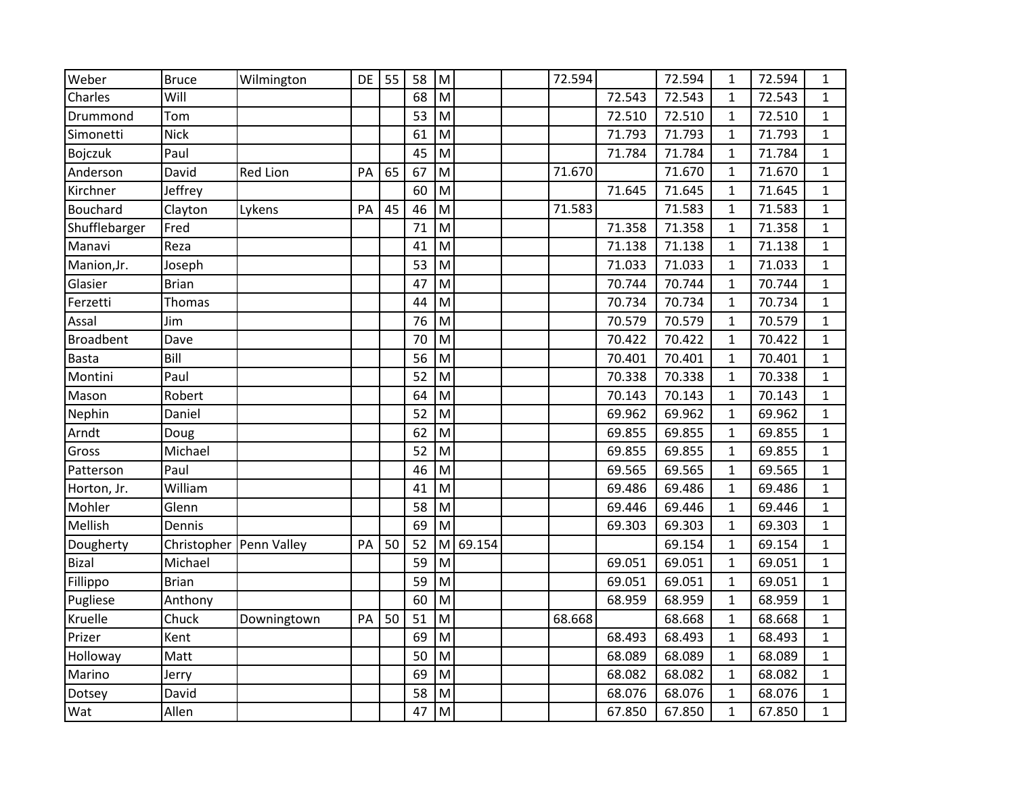| Weber            | <b>Bruce</b>              | Wilmington      | DE | 55 | 58 | M |        | 72.594 |        | 72.594 | $\mathbf{1}$ | 72.594 | 1            |
|------------------|---------------------------|-----------------|----|----|----|---|--------|--------|--------|--------|--------------|--------|--------------|
| Charles          | Will                      |                 |    |    | 68 | M |        |        | 72.543 | 72.543 | 1            | 72.543 | 1            |
| Drummond         | Tom                       |                 |    |    | 53 | M |        |        | 72.510 | 72.510 | $\mathbf{1}$ | 72.510 | 1            |
| Simonetti        | <b>Nick</b>               |                 |    |    | 61 | M |        |        | 71.793 | 71.793 | $\mathbf{1}$ | 71.793 | $\mathbf{1}$ |
| Bojczuk          | Paul                      |                 |    |    | 45 | M |        |        | 71.784 | 71.784 | $\mathbf{1}$ | 71.784 | $\mathbf{1}$ |
| Anderson         | David                     | <b>Red Lion</b> | PA | 65 | 67 | M |        | 71.670 |        | 71.670 | $\mathbf 1$  | 71.670 | $\mathbf{1}$ |
| Kirchner         | Jeffrey                   |                 |    |    | 60 | M |        |        | 71.645 | 71.645 | $\mathbf 1$  | 71.645 | $\mathbf{1}$ |
| Bouchard         | Clayton                   | Lykens          | PA | 45 | 46 | M |        | 71.583 |        | 71.583 | $\mathbf 1$  | 71.583 | $\mathbf{1}$ |
| Shufflebarger    | Fred                      |                 |    |    | 71 | M |        |        | 71.358 | 71.358 | $\mathbf{1}$ | 71.358 | $\mathbf{1}$ |
| Manavi           | Reza                      |                 |    |    | 41 | M |        |        | 71.138 | 71.138 | $\mathbf{1}$ | 71.138 | 1            |
| Manion, Jr.      | Joseph                    |                 |    |    | 53 | M |        |        | 71.033 | 71.033 | $\mathbf 1$  | 71.033 | $\mathbf{1}$ |
| Glasier          | <b>Brian</b>              |                 |    |    | 47 | M |        |        | 70.744 | 70.744 | $\mathbf{1}$ | 70.744 | $\mathbf{1}$ |
| Ferzetti         | Thomas                    |                 |    |    | 44 | M |        |        | 70.734 | 70.734 | $\mathbf{1}$ | 70.734 | $\mathbf{1}$ |
| Assal            | Jim                       |                 |    |    | 76 | M |        |        | 70.579 | 70.579 | $\mathbf{1}$ | 70.579 | 1            |
| <b>Broadbent</b> | Dave                      |                 |    |    | 70 | M |        |        | 70.422 | 70.422 | $\mathbf{1}$ | 70.422 | $\mathbf{1}$ |
| <b>Basta</b>     | Bill                      |                 |    |    | 56 | M |        |        | 70.401 | 70.401 | $\mathbf 1$  | 70.401 | $\mathbf{1}$ |
| Montini          | Paul                      |                 |    |    | 52 | M |        |        | 70.338 | 70.338 | $\mathbf{1}$ | 70.338 | $\mathbf{1}$ |
| Mason            | Robert                    |                 |    |    | 64 | M |        |        | 70.143 | 70.143 | $\mathbf{1}$ | 70.143 | 1            |
| Nephin           | Daniel                    |                 |    |    | 52 | M |        |        | 69.962 | 69.962 | $\mathbf{1}$ | 69.962 | $\mathbf{1}$ |
| Arndt            | Doug                      |                 |    |    | 62 | M |        |        | 69.855 | 69.855 | $\mathbf{1}$ | 69.855 | $\mathbf{1}$ |
| Gross            | Michael                   |                 |    |    | 52 | M |        |        | 69.855 | 69.855 | $\mathbf{1}$ | 69.855 | $\mathbf{1}$ |
| Patterson        | Paul                      |                 |    |    | 46 | M |        |        | 69.565 | 69.565 | $\mathbf{1}$ | 69.565 | $\mathbf{1}$ |
| Horton, Jr.      | William                   |                 |    |    | 41 | M |        |        | 69.486 | 69.486 | $\mathbf{1}$ | 69.486 | $\mathbf{1}$ |
| Mohler           | Glenn                     |                 |    |    | 58 | M |        |        | 69.446 | 69.446 | $\mathbf 1$  | 69.446 | $\mathbf{1}$ |
| Mellish          | Dennis                    |                 |    |    | 69 | M |        |        | 69.303 | 69.303 | $\mathbf{1}$ | 69.303 | $\mathbf{1}$ |
| Dougherty        | Christopher   Penn Valley |                 | PA | 50 | 52 | M | 69.154 |        |        | 69.154 | $\mathbf{1}$ | 69.154 | 1            |
| <b>Bizal</b>     | Michael                   |                 |    |    | 59 | M |        |        | 69.051 | 69.051 | $\mathbf 1$  | 69.051 | 1            |
| Fillippo         | <b>Brian</b>              |                 |    |    | 59 | M |        |        | 69.051 | 69.051 | $\mathbf{1}$ | 69.051 | $\mathbf{1}$ |
| Pugliese         | Anthony                   |                 |    |    | 60 | M |        |        | 68.959 | 68.959 | $\mathbf{1}$ | 68.959 | $\mathbf{1}$ |
| Kruelle          | Chuck                     | Downingtown     | PA | 50 | 51 | M |        | 68.668 |        | 68.668 | $\mathbf{1}$ | 68.668 | $\mathbf{1}$ |
| Prizer           | Kent                      |                 |    |    | 69 | M |        |        | 68.493 | 68.493 | $\mathbf{1}$ | 68.493 | 1            |
| Holloway         | Matt                      |                 |    |    | 50 | M |        |        | 68.089 | 68.089 | $\mathbf{1}$ | 68.089 | $\mathbf{1}$ |
| Marino           | Jerry                     |                 |    |    | 69 | M |        |        | 68.082 | 68.082 | $\mathbf{1}$ | 68.082 | $\mathbf{1}$ |
| Dotsey           | David                     |                 |    |    | 58 | M |        |        | 68.076 | 68.076 | $\mathbf{1}$ | 68.076 | 1            |
| Wat              | Allen                     |                 |    |    | 47 | M |        |        | 67.850 | 67.850 | $\mathbf{1}$ | 67.850 | $\mathbf{1}$ |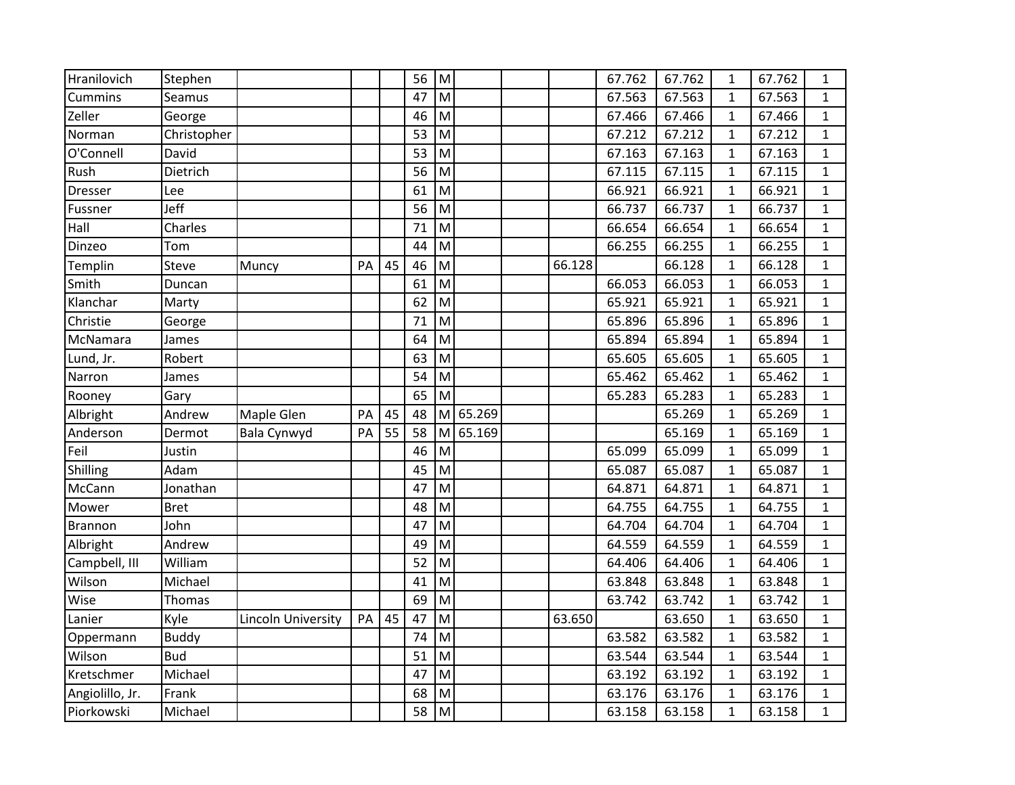| Hranilovich     | Stephen      |                    |    |    | 56 | ${\sf M}$ |        |        | 67.762 | 67.762 | 1            | 67.762 | $\mathbf{1}$ |
|-----------------|--------------|--------------------|----|----|----|-----------|--------|--------|--------|--------|--------------|--------|--------------|
| Cummins         | Seamus       |                    |    |    | 47 | M         |        |        | 67.563 | 67.563 | $\mathbf{1}$ | 67.563 | 1            |
| Zeller          | George       |                    |    |    | 46 | M         |        |        | 67.466 | 67.466 | $\mathbf{1}$ | 67.466 | $\mathbf{1}$ |
| Norman          | Christopher  |                    |    |    | 53 | M         |        |        | 67.212 | 67.212 | $\mathbf{1}$ | 67.212 | $\mathbf{1}$ |
| O'Connell       | David        |                    |    |    | 53 | M         |        |        | 67.163 | 67.163 | $\mathbf{1}$ | 67.163 | $\mathbf{1}$ |
| Rush            | Dietrich     |                    |    |    | 56 | M         |        |        | 67.115 | 67.115 | $\mathbf{1}$ | 67.115 | $\mathbf{1}$ |
| <b>Dresser</b>  | Lee          |                    |    |    | 61 | M         |        |        | 66.921 | 66.921 | $\mathbf{1}$ | 66.921 | $\mathbf{1}$ |
| Fussner         | Jeff         |                    |    |    | 56 | M         |        |        | 66.737 | 66.737 | $\mathbf{1}$ | 66.737 | $\mathbf{1}$ |
| Hall            | Charles      |                    |    |    | 71 | M         |        |        | 66.654 | 66.654 | $\mathbf{1}$ | 66.654 | $\mathbf{1}$ |
| Dinzeo          | Tom          |                    |    |    | 44 | M         |        |        | 66.255 | 66.255 | $\mathbf{1}$ | 66.255 | $\mathbf{1}$ |
| Templin         | <b>Steve</b> | Muncy              | PA | 45 | 46 | M         |        | 66.128 |        | 66.128 | $\mathbf{1}$ | 66.128 | $\mathbf{1}$ |
| Smith           | Duncan       |                    |    |    | 61 | M         |        |        | 66.053 | 66.053 | $\mathbf{1}$ | 66.053 | $\mathbf{1}$ |
| Klanchar        | Marty        |                    |    |    | 62 | M         |        |        | 65.921 | 65.921 | $\mathbf{1}$ | 65.921 | $\mathbf{1}$ |
| Christie        | George       |                    |    |    | 71 | M         |        |        | 65.896 | 65.896 | $\mathbf{1}$ | 65.896 | $\mathbf{1}$ |
| McNamara        | James        |                    |    |    | 64 | M         |        |        | 65.894 | 65.894 | $\mathbf{1}$ | 65.894 | $\mathbf{1}$ |
| Lund, Jr.       | Robert       |                    |    |    | 63 | M         |        |        | 65.605 | 65.605 | $\mathbf 1$  | 65.605 | $\mathbf{1}$ |
| Narron          | James        |                    |    |    | 54 | M         |        |        | 65.462 | 65.462 | $\mathbf{1}$ | 65.462 | 1            |
| Rooney          | Gary         |                    |    |    | 65 | M         |        |        | 65.283 | 65.283 | $\mathbf{1}$ | 65.283 | $\mathbf{1}$ |
| Albright        | Andrew       | Maple Glen         | PA | 45 | 48 | M         | 65.269 |        |        | 65.269 | $\mathbf{1}$ | 65.269 | $\mathbf{1}$ |
| Anderson        | Dermot       | Bala Cynwyd        | PA | 55 | 58 | M         | 65.169 |        |        | 65.169 | $\mathbf{1}$ | 65.169 | $\mathbf{1}$ |
| Feil            | Justin       |                    |    |    | 46 | M         |        |        | 65.099 | 65.099 | $\mathbf{1}$ | 65.099 | $\mathbf{1}$ |
| Shilling        | Adam         |                    |    |    | 45 | M         |        |        | 65.087 | 65.087 | $\mathbf{1}$ | 65.087 | $\mathbf{1}$ |
| McCann          | Jonathan     |                    |    |    | 47 | M         |        |        | 64.871 | 64.871 | $\mathbf{1}$ | 64.871 | $\mathbf{1}$ |
| Mower           | <b>Bret</b>  |                    |    |    | 48 | M         |        |        | 64.755 | 64.755 | $\mathbf{1}$ | 64.755 | $\mathbf{1}$ |
| Brannon         | John         |                    |    |    | 47 | M         |        |        | 64.704 | 64.704 | $\mathbf{1}$ | 64.704 | 1            |
| Albright        | Andrew       |                    |    |    | 49 | M         |        |        | 64.559 | 64.559 | $\mathbf{1}$ | 64.559 | $\mathbf{1}$ |
| Campbell, III   | William      |                    |    |    | 52 | M         |        |        | 64.406 | 64.406 | $\mathbf 1$  | 64.406 | $\mathbf{1}$ |
| Wilson          | Michael      |                    |    |    | 41 | M         |        |        | 63.848 | 63.848 | $\mathbf{1}$ | 63.848 | $\mathbf{1}$ |
| Wise            | Thomas       |                    |    |    | 69 | M         |        |        | 63.742 | 63.742 | $\mathbf{1}$ | 63.742 | $\mathbf{1}$ |
| Lanier          | Kyle         | Lincoln University | PA | 45 | 47 | M         |        | 63.650 |        | 63.650 | $\mathbf{1}$ | 63.650 | $\mathbf{1}$ |
| Oppermann       | <b>Buddy</b> |                    |    |    | 74 | M         |        |        | 63.582 | 63.582 | $\mathbf{1}$ | 63.582 | $\mathbf{1}$ |
| Wilson          | <b>Bud</b>   |                    |    |    | 51 | M         |        |        | 63.544 | 63.544 | $\mathbf{1}$ | 63.544 | $\mathbf{1}$ |
| Kretschmer      | Michael      |                    |    |    | 47 | M         |        |        | 63.192 | 63.192 | $\mathbf{1}$ | 63.192 | $\mathbf{1}$ |
| Angiolillo, Jr. | Frank        |                    |    |    | 68 | M         |        |        | 63.176 | 63.176 | $\mathbf{1}$ | 63.176 | $\mathbf{1}$ |
| Piorkowski      | Michael      |                    |    |    | 58 | M         |        |        | 63.158 | 63.158 | $\mathbf{1}$ | 63.158 | $\mathbf{1}$ |
|                 |              |                    |    |    |    |           |        |        |        |        |              |        |              |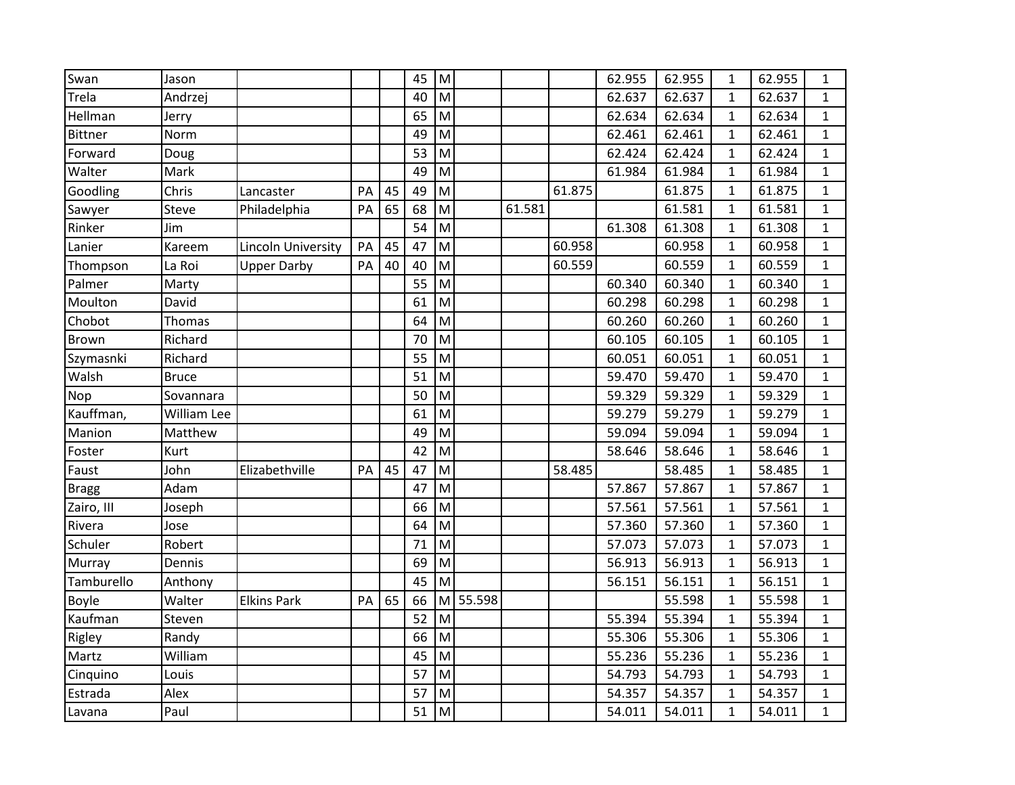| Swan           | Jason        |                    |    |    | 45 | M |        |        |        | 62.955 | 62.955 | 1            | 62.955 | 1            |
|----------------|--------------|--------------------|----|----|----|---|--------|--------|--------|--------|--------|--------------|--------|--------------|
| Trela          | Andrzej      |                    |    |    | 40 | M |        |        |        | 62.637 | 62.637 | $\mathbf{1}$ | 62.637 | 1            |
| Hellman        | Jerry        |                    |    |    | 65 | M |        |        |        | 62.634 | 62.634 | $\mathbf{1}$ | 62.634 | $\mathbf{1}$ |
| <b>Bittner</b> | Norm         |                    |    |    | 49 | M |        |        |        | 62.461 | 62.461 | $\mathbf{1}$ | 62.461 | $\mathbf{1}$ |
| Forward        | Doug         |                    |    |    | 53 | M |        |        |        | 62.424 | 62.424 | $\mathbf{1}$ | 62.424 | $\mathbf{1}$ |
| Walter         | Mark         |                    |    |    | 49 | M |        |        |        | 61.984 | 61.984 | $\mathbf{1}$ | 61.984 | $\mathbf{1}$ |
| Goodling       | Chris        | Lancaster          | PA | 45 | 49 | M |        |        | 61.875 |        | 61.875 | $\mathbf{1}$ | 61.875 | $\mathbf{1}$ |
| Sawyer         | Steve        | Philadelphia       | PA | 65 | 68 | M |        | 61.581 |        |        | 61.581 | $\mathbf{1}$ | 61.581 | $\mathbf{1}$ |
| Rinker         | Jim          |                    |    |    | 54 | M |        |        |        | 61.308 | 61.308 | $\mathbf{1}$ | 61.308 | $\mathbf{1}$ |
| Lanier         | Kareem       | Lincoln University | PA | 45 | 47 | M |        |        | 60.958 |        | 60.958 | $\mathbf{1}$ | 60.958 | 1            |
| Thompson       | La Roi       | <b>Upper Darby</b> | PA | 40 | 40 | M |        |        | 60.559 |        | 60.559 | $\mathbf{1}$ | 60.559 | $\mathbf{1}$ |
| Palmer         | Marty        |                    |    |    | 55 | M |        |        |        | 60.340 | 60.340 | $\mathbf{1}$ | 60.340 | $\mathbf{1}$ |
| Moulton        | David        |                    |    |    | 61 | M |        |        |        | 60.298 | 60.298 | $\mathbf{1}$ | 60.298 | 1            |
| Chobot         | Thomas       |                    |    |    | 64 | M |        |        |        | 60.260 | 60.260 | $\mathbf{1}$ | 60.260 | $\mathbf{1}$ |
| <b>Brown</b>   | Richard      |                    |    |    | 70 | M |        |        |        | 60.105 | 60.105 | $\mathbf{1}$ | 60.105 | $\mathbf{1}$ |
| Szymasnki      | Richard      |                    |    |    | 55 | M |        |        |        | 60.051 | 60.051 | $\mathbf{1}$ | 60.051 | $\mathbf{1}$ |
| Walsh          | <b>Bruce</b> |                    |    |    | 51 | M |        |        |        | 59.470 | 59.470 | $\mathbf{1}$ | 59.470 | $\mathbf{1}$ |
| Nop            | Sovannara    |                    |    |    | 50 | M |        |        |        | 59.329 | 59.329 | $\mathbf{1}$ | 59.329 | 1            |
| Kauffman,      | William Lee  |                    |    |    | 61 | M |        |        |        | 59.279 | 59.279 | $\mathbf{1}$ | 59.279 | 1            |
| Manion         | Matthew      |                    |    |    | 49 | M |        |        |        | 59.094 | 59.094 | $\mathbf{1}$ | 59.094 | $\mathbf{1}$ |
| Foster         | Kurt         |                    |    |    | 42 | M |        |        |        | 58.646 | 58.646 | $\mathbf{1}$ | 58.646 | 1            |
| Faust          | John         | Elizabethville     | PA | 45 | 47 | M |        |        | 58.485 |        | 58.485 | $\mathbf{1}$ | 58.485 | $\mathbf{1}$ |
| <b>Bragg</b>   | Adam         |                    |    |    | 47 | M |        |        |        | 57.867 | 57.867 | $\mathbf{1}$ | 57.867 | $\mathbf{1}$ |
| Zairo, III     | Joseph       |                    |    |    | 66 | M |        |        |        | 57.561 | 57.561 | $\mathbf{1}$ | 57.561 | $\mathbf{1}$ |
| Rivera         | Jose         |                    |    |    | 64 | M |        |        |        | 57.360 | 57.360 | $\mathbf{1}$ | 57.360 | $\mathbf{1}$ |
| Schuler        | Robert       |                    |    |    | 71 | M |        |        |        | 57.073 | 57.073 | $\mathbf{1}$ | 57.073 | 1            |
| Murray         | Dennis       |                    |    |    | 69 | M |        |        |        | 56.913 | 56.913 | $\mathbf{1}$ | 56.913 | 1            |
| Tamburello     | Anthony      |                    |    |    | 45 | M |        |        |        | 56.151 | 56.151 | $\mathbf{1}$ | 56.151 | $\mathbf{1}$ |
| <b>Boyle</b>   | Walter       | <b>Elkins Park</b> | PA | 65 | 66 | M | 55.598 |        |        |        | 55.598 | $\mathbf{1}$ | 55.598 | 1            |
| Kaufman        | Steven       |                    |    |    | 52 | M |        |        |        | 55.394 | 55.394 | $\mathbf{1}$ | 55.394 | $\mathbf{1}$ |
| Rigley         | Randy        |                    |    |    | 66 | M |        |        |        | 55.306 | 55.306 | $\mathbf{1}$ | 55.306 | $\mathbf{1}$ |
| Martz          | William      |                    |    |    | 45 | M |        |        |        | 55.236 | 55.236 | $\mathbf{1}$ | 55.236 | $\mathbf{1}$ |
| Cinquino       | Louis        |                    |    |    | 57 | M |        |        |        | 54.793 | 54.793 | $\mathbf{1}$ | 54.793 | 1            |
| Estrada        | Alex         |                    |    |    | 57 | M |        |        |        | 54.357 | 54.357 | $\mathbf{1}$ | 54.357 | 1            |
| Lavana         | Paul         |                    |    |    | 51 | M |        |        |        | 54.011 | 54.011 | $\mathbf{1}$ | 54.011 | $\mathbf{1}$ |